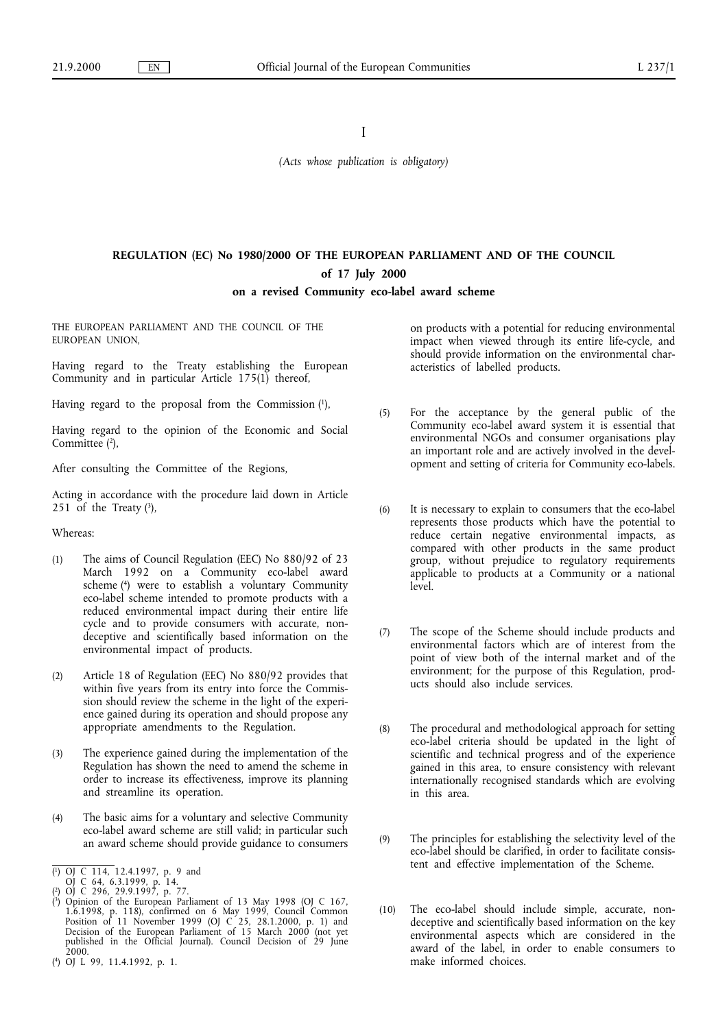I

*(Acts whose publication is obligatory)*

# **REGULATION (EC) No 1980/2000 OF THE EUROPEAN PARLIAMENT AND OF THE COUNCIL of 17 July 2000**

## **ona revised Community eco-label award scheme**

THE EUROPEAN PARLIAMENT AND THE COUNCIL OF THE EUROPEAN UNION,

Having regard to the Treaty establishing the European Community and in particular Article 175(1) thereof,

Having regard to the proposal from the Commission  $(1)$ ,

Having regard to the opinion of the Economic and Social Committee (2),

After consulting the Committee of the Regions,

Acting in accordance with the procedure laid down in Article 251 of the Treaty  $(3)$ ,

Whereas:

- (1) The aims of Council Regulation (EEC) No 880/92 of 23 March 1992 on a Community eco-label award scheme (4) were to establish a voluntary Community eco-label scheme intended to promote products with a reduced environmental impact during their entire life cycle and to provide consumers with accurate, nondeceptive and scientifically based information on the environmental impact of products.
- (2) Article 18 of Regulation (EEC) No 880/92 provides that within five years from its entry into force the Commission should review the scheme in the light of the experience gained during its operation and should propose any appropriate amendments to the Regulation.
- (3) The experience gained during the implementation of the Regulation has shown the need to amend the scheme in order to increase its effectiveness, improve its planning and streamline its operation.
- (4) The basic aims for a voluntary and selective Community eco-label award scheme are still valid; in particular such an award scheme should provide guidance to consumers
- ( 1) OJ C 114, 12.4.1997, p. 9 and
- OJ C 64, 6.3.1999, p. 14.
- ( 2) OJ C 296, 29.9.1997, p. 77.
- ( $\degree$ ) Opinion of the European Parliament of 13 May 1998 (OJ C 167, 1.6.1998, p. 118), confirmed on 6 May 1999, Council Common Position of 11 November 1999 (OJ C 25, 28.1.2000, p. 1) and Decision of the European Parliament of 15 March 2000 (not yet published in the Official Journal). Council Decision of 29 June 2000.
- ( 4) OJ L 99, 11.4.1992, p. 1.

on products with a potential for reducing environmental impact when viewed through its entire life-cycle, and should provide information on the environmental characteristics of labelled products.

- (5) For the acceptance by the general public of the Community eco-label award system it is essential that environmental NGOs and consumer organisations play an important role and are actively involved in the development and setting of criteria for Community eco-labels.
- (6) It is necessary to explain to consumers that the eco-label represents those products which have the potential to reduce certain negative environmental impacts, as compared with other products in the same product group, without prejudice to regulatory requirements applicable to products at a Community or a national level.
- (7) The scope of the Scheme should include products and environmental factors which are of interest from the point of view both of the internal market and of the environment; for the purpose of this Regulation, products should also include services.
- (8) The procedural and methodological approach for setting eco-label criteria should be updated in the light of scientific and technical progress and of the experience gained in this area, to ensure consistency with relevant internationally recognised standards which are evolving in this area.
- (9) The principles for establishing the selectivity level of the eco-label should be clarified, in order to facilitate consistent and effective implementation of the Scheme.
- (10) The eco-label should include simple, accurate, nondeceptive and scientifically based information on the key environmental aspects which are considered in the award of the label, in order to enable consumers to make informed choices.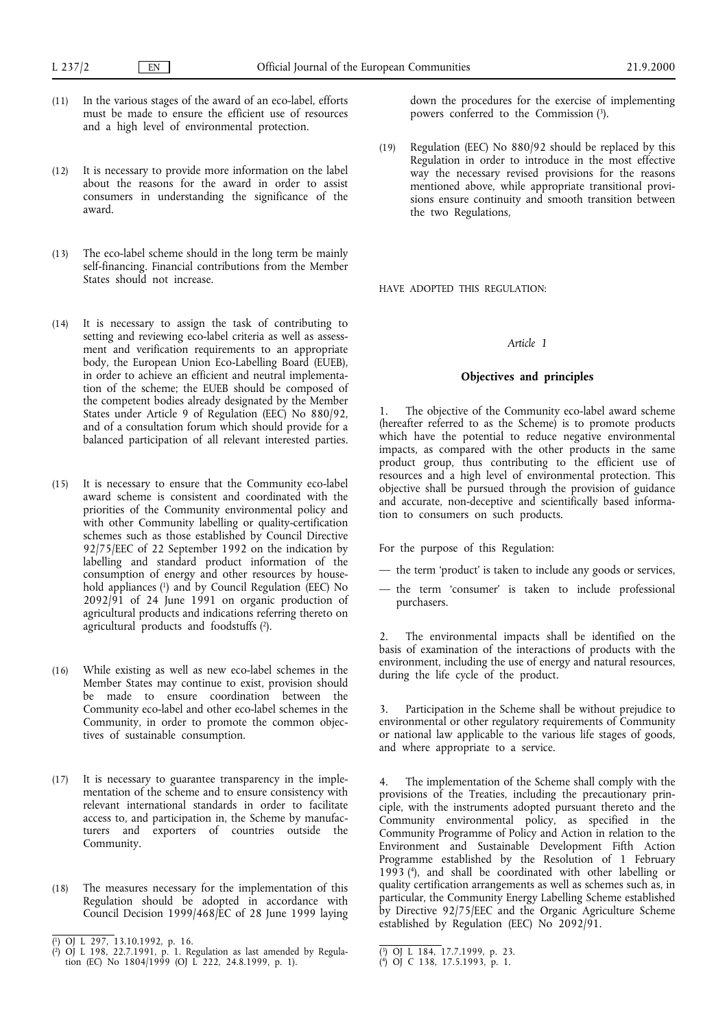- (11) In the various stages of the award of an eco-label, efforts must be made to ensure the efficient use of resources and a high level of environmental protection.
- (12) It is necessary to provide more information on the label about the reasons for the award in order to assist consumers in understanding the significance of the award.
- (13) The eco-label scheme should in the long term be mainly self-financing. Financial contributions from the Member States should not increase.
- (14) It is necessary to assign the task of contributing to setting and reviewing eco-label criteria as well as assessment and verification requirements to an appropriate body, the European Union Eco-Labelling Board (EUEB), in order to achieve an efficient and neutral implementation of the scheme; the EUEB should be composed of the competent bodies already designated by the Member States under Article 9 of Regulation (EEC) No 880/92, and of a consultation forum which should provide for a balanced participation of all relevant interested parties.
- (15) It is necessary to ensure that the Community eco-label award scheme is consistent and coordinated with the priorities of the Community environmental policy and with other Community labelling or quality-certification schemes such as those established by Council Directive 92/75/EEC of 22 September 1992 on the indication by labelling and standard product information of the consumption of energy and other resources by household appliances (1) and by Council Regulation (EEC) No 2092/91 of 24 June 1991 on organic production of agricultural products and indications referring thereto on agricultural products and foodstuffs (2).
- (16) While existing as well as new eco-label schemes in the Member States may continue to exist, provision should be made to ensure coordination between the Community eco-label and other eco-label schemes in the Community, in order to promote the common objectives of sustainable consumption.
- (17) It is necessary to guarantee transparency in the implementation of the scheme and to ensure consistency with relevant international standards in order to facilitate access to, and participation in, the Scheme by manufacturers and exporters of countries outside the Community.
- (18) The measures necessary for the implementation of this Regulation should be adopted in accordance with Council Decision 1999/468/EC of 28 June 1999 laying

down the procedures for the exercise of implementing powers conferred to the Commission (3).

(19) Regulation (EEC) No 880/92 should be replaced by this Regulation in order to introduce in the most effective way the necessary revised provisions for the reasons mentioned above, while appropriate transitional provisions ensure continuity and smooth transition between the two Regulations,

HAVE ADOPTED THIS REGULATION:

# *Article 1*

### **Objectives and principles**

1. The objective of the Community eco-label award scheme (hereafter referred to as the Scheme) is to promote products which have the potential to reduce negative environmental impacts, as compared with the other products in the same product group, thus contributing to the efficient use of resources and a high level of environmental protection. This objective shall be pursued through the provision of guidance and accurate, non-deceptive and scientifically based information to consumers on such products.

For the purpose of this Regulation:

- the term 'product' is taken to include any goods or services,
- the term 'consumer' is taken to include professional purchasers.

2. The environmental impacts shall be identified on the basis of examination of the interactions of products with the environment, including the use of energy and natural resources, during the life cycle of the product.

3. Participation in the Scheme shall be without prejudice to environmental or other regulatory requirements of Community or national law applicable to the various life stages of goods, and where appropriate to a service.

4. The implementation of the Scheme shall comply with the provisions of the Treaties, including the precautionary principle, with the instruments adopted pursuant thereto and the Community environmental policy, as specified in the Community Programme of Policy and Action in relation to the Environment and Sustainable Development Fifth Action Programme established by the Resolution of 1 February 1993 (4), and shall be coordinated with other labelling or quality certification arrangements as well as schemes such as, in particular, the Community Energy Labelling Scheme established by Directive 92/75/EEC and the Organic Agriculture Scheme established by Regulation (EEC) No 2092/91.

<sup>(</sup> 1) OJ L 297, 13.10.1992, p. 16.

<sup>(</sup> 2) OJ L 198, 22.7.1991, p. 1. Regulation as last amended by Regulation (EC) No 1804/1999 (OJ L 222, 24.8.1999, p. 1).

<sup>(</sup> 3) OJ L 184, 17.7.1999, p. 23.

<sup>(</sup> 4) OJ C 138, 17.5.1993, p. 1.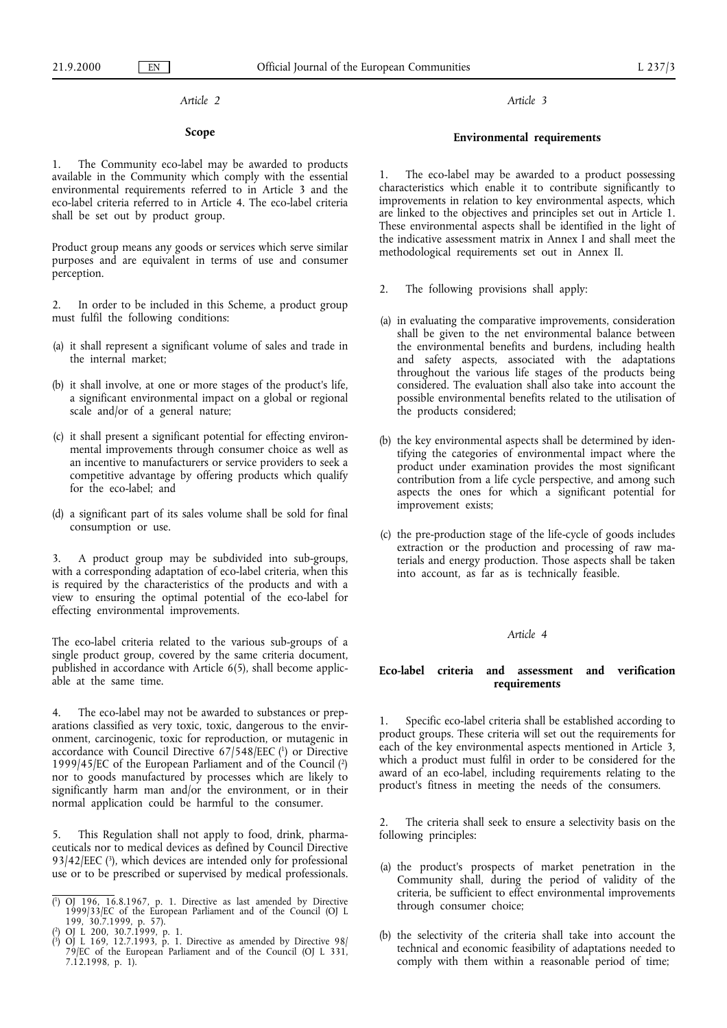# *Article 2*

## **Scope**

1. The Community eco-label may be awarded to products available in the Community which comply with the essential environmental requirements referred to in Article 3 and the eco-label criteria referred to in Article 4. The eco-label criteria shall be set out by product group.

Product group means any goods or services which serve similar purposes and are equivalent in terms of use and consumer perception.

2. In order to be included in this Scheme, a product group must fulfil the following conditions:

- (a) it shall represent a significant volume of sales and trade in the internal market;
- (b) it shall involve, at one or more stages of the product's life, a significant environmental impact on a global or regional scale and/or of a general nature;
- (c) it shall present a significant potential for effecting environmental improvements through consumer choice as well as an incentive to manufacturers or service providers to seek a competitive advantage by offering products which qualify for the eco-label; and
- (d) a significant part of its sales volume shall be sold for final consumption or use.

3. A product group may be subdivided into sub-groups, with a corresponding adaptation of eco-label criteria, when this is required by the characteristics of the products and with a view to ensuring the optimal potential of the eco-label for effecting environmental improvements.

The eco-label criteria related to the various sub-groups of a single product group, covered by the same criteria document, published in accordance with Article 6(5), shall become applicable at the same time.

4. The eco-label may not be awarded to substances or preparations classified as very toxic, toxic, dangerous to the environment, carcinogenic, toxic for reproduction, or mutagenic in accordance with Council Directive 67/548/EEC (1) or Directive 1999/45/EC of the European Parliament and of the Council (2) nor to goods manufactured by processes which are likely to significantly harm man and/or the environment, or in their normal application could be harmful to the consumer.

5. This Regulation shall not apply to food, drink, pharmaceuticals nor to medical devices as defined by Council Directive 93/42/EEC  $(3)$ , which devices are intended only for professional use or to be prescribed or supervised by medical professionals. *Article 3*

## **Environmental requirements**

1. The eco-label may be awarded to a product possessing characteristics which enable it to contribute significantly to improvements in relation to key environmental aspects, which are linked to the objectives and principles set out in Article 1. These environmental aspects shall be identified in the light of the indicative assessment matrix in Annex I and shall meet the methodological requirements set out in Annex II.

- 2. The following provisions shall apply:
- (a) in evaluating the comparative improvements, consideration shall be given to the net environmental balance between the environmental benefits and burdens, including health and safety aspects, associated with the adaptations throughout the various life stages of the products being considered. The evaluation shall also take into account the possible environmental benefits related to the utilisation of the products considered;
- (b) the key environmental aspects shall be determined by identifying the categories of environmental impact where the product under examination provides the most significant contribution from a life cycle perspective, and among such aspects the ones for which a significant potential for improvement exists;
- (c) the pre-production stage of the life-cycle of goods includes extraction or the production and processing of raw materials and energy production. Those aspects shall be taken into account, as far as is technically feasible.

## *Article 4*

## **Eco-label criteria and assessment and verification requirements**

1. Specific eco-label criteria shall be established according to product groups. These criteria will set out the requirements for each of the key environmental aspects mentioned in Article 3, which a product must fulfil in order to be considered for the award of an eco-label, including requirements relating to the product's fitness in meeting the needs of the consumers.

2. The criteria shall seek to ensure a selectivity basis on the following principles:

- (a) the product's prospects of market penetration in the Community shall, during the period of validity of the criteria, be sufficient to effect environmental improvements through consumer choice;
- (b) the selectivity of the criteria shall take into account the technical and economic feasibility of adaptations needed to comply with them within a reasonable period of time;

<sup>(</sup> <sup>1</sup>) OJ 196, 16.8.1967, p. 1. Directive as last amended by Directive 1999/33/EC of the European Parliament and of the Council (OJ L 199, 30.7.1999, p. 57). 2) OJ L 200, 30.7.1999, p. 1.

<sup>(</sup>

<sup>(</sup> <sup>3</sup>) OJ L 169, 12.7.1993, p. 1. Directive as amended by Directive 98/ 79/EC of the European Parliament and of the Council (OJ L 331, 7.12.1998, p. 1).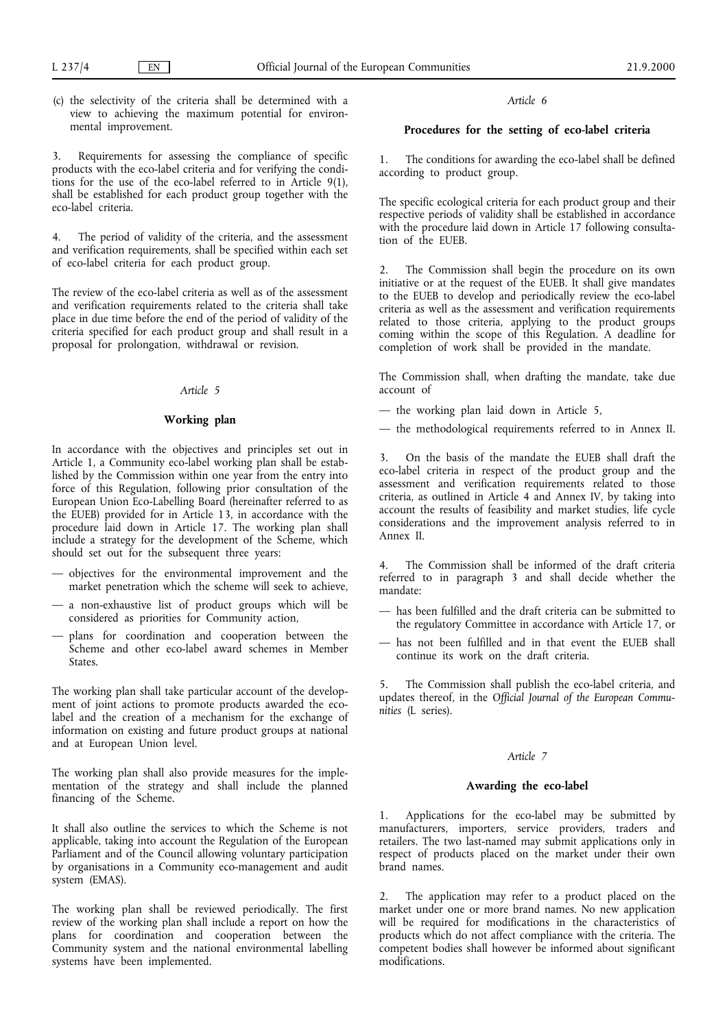(c) the selectivity of the criteria shall be determined with a view to achieving the maximum potential for environmental improvement.

3. Requirements for assessing the compliance of specific products with the eco-label criteria and for verifying the conditions for the use of the eco-label referred to in Article 9(1), shall be established for each product group together with the eco-label criteria.

4. The period of validity of the criteria, and the assessment and verification requirements, shall be specified within each set of eco-label criteria for each product group.

The review of the eco-label criteria as well as of the assessment and verification requirements related to the criteria shall take place in due time before the end of the period of validity of the criteria specified for each product group and shall result in a proposal for prolongation, withdrawal or revision.

## *Article 5*

# **Working plan**

In accordance with the objectives and principles set out in Article 1, a Community eco-label working plan shall be established by the Commission within one year from the entry into force of this Regulation, following prior consultation of the European Union Eco-Labelling Board (hereinafter referred to as the EUEB) provided for in Article 13, in accordance with the procedure laid down in Article 17. The working plan shall include a strategy for the development of the Scheme, which should set out for the subsequent three years:

- objectives for the environmental improvement and the market penetration which the scheme will seek to achieve,
- a non-exhaustive list of product groups which will be considered as priorities for Community action,
- plans for coordination and cooperation between the Scheme and other eco-label award schemes in Member States.

The working plan shall take particular account of the development of joint actions to promote products awarded the ecolabel and the creation of a mechanism for the exchange of information on existing and future product groups at national and at European Union level.

The working plan shall also provide measures for the implementation of the strategy and shall include the planned financing of the Scheme.

It shall also outline the services to which the Scheme is not applicable, taking into account the Regulation of the European Parliament and of the Council allowing voluntary participation by organisations in a Community eco-management and audit system (EMAS).

The working plan shall be reviewed periodically. The first review of the working plan shall include a report on how the plans for coordination and cooperation between the Community system and the national environmental labelling systems have been implemented.

# *Article 6*

# **Procedures for the setting of eco-label criteria**

1. The conditions for awarding the eco-label shall be defined according to product group.

The specific ecological criteria for each product group and their respective periods of validity shall be established in accordance with the procedure laid down in Article 17 following consultation of the EUEB.

2. The Commission shall begin the procedure on its own initiative or at the request of the EUEB. It shall give mandates to the EUEB to develop and periodically review the eco-label criteria as well as the assessment and verification requirements related to those criteria, applying to the product groups coming within the scope of this Regulation. A deadline for completion of work shall be provided in the mandate.

The Commission shall, when drafting the mandate, take due account of

— the working plan laid down in Article 5,

— the methodological requirements referred to in Annex II.

3. On the basis of the mandate the EUEB shall draft the eco-label criteria in respect of the product group and the assessment and verification requirements related to those criteria, as outlined in Article 4 and Annex IV, by taking into account the results of feasibility and market studies, life cycle considerations and the improvement analysis referred to in Annex II.

4. The Commission shall be informed of the draft criteria referred to in paragraph 3 and shall decide whether the mandate:

- has been fulfilled and the draft criteria can be submitted to the regulatory Committee in accordance with Article 17, or
- has not been fulfilled and in that event the EUEB shall continue its work on the draft criteria.

5. The Commission shall publish the eco-label criteria, and updates thereof, in the *Official Journal of the European Communities* (L series).

#### *Article 7*

## **Awarding the eco-label**

1. Applications for the eco-label may be submitted by manufacturers, importers, service providers, traders and retailers. The two last-named may submit applications only in respect of products placed on the market under their own brand names.

2. The application may refer to a product placed on the market under one or more brand names. No new application will be required for modifications in the characteristics of products which do not affect compliance with the criteria. The competent bodies shall however be informed about significant modifications.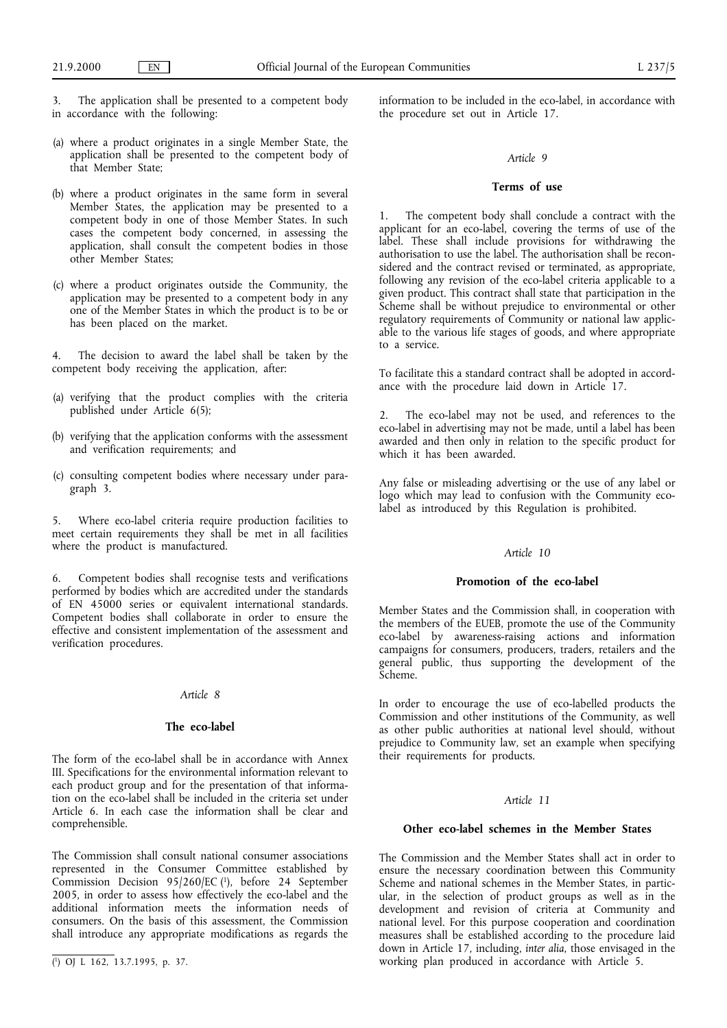3. The application shall be presented to a competent body in accordance with the following:

- (a) where a product originates in a single Member State, the application shall be presented to the competent body of that Member State;
- (b) where a product originates in the same form in several Member States, the application may be presented to a competent body in one of those Member States. In such cases the competent body concerned, in assessing the application, shall consult the competent bodies in those other Member States;
- (c) where a product originates outside the Community, the application may be presented to a competent body in any one of the Member States in which the product is to be or has been placed on the market.

The decision to award the label shall be taken by the competent body receiving the application, after:

- (a) verifying that the product complies with the criteria published under Article 6(5);
- (b) verifying that the application conforms with the assessment and verification requirements; and
- (c) consulting competent bodies where necessary under paragraph 3.

5. Where eco-label criteria require production facilities to meet certain requirements they shall be met in all facilities where the product is manufactured.

6. Competent bodies shall recognise tests and verifications performed by bodies which are accredited under the standards of EN 45000 series or equivalent international standards. Competent bodies shall collaborate in order to ensure the effective and consistent implementation of the assessment and verification procedures.

#### *Article 8*

## **The eco-label**

The form of the eco-label shall be in accordance with Annex III. Specifications for the environmental information relevant to each product group and for the presentation of that information on the eco-label shall be included in the criteria set under Article 6. In each case the information shall be clear and comprehensible.

The Commission shall consult national consumer associations represented in the Consumer Committee established by Commission Decision 95/260/EC (1), before 24 September 2005, in order to assess how effectively the eco-label and the additional information meets the information needs of consumers. On the basis of this assessment, the Commission shall introduce any appropriate modifications as regards the

information to be included in the eco-label, in accordance with the procedure set out in Article 17.

### *Article 9*

## **Terms of use**

The competent body shall conclude a contract with the applicant for an eco-label, covering the terms of use of the label. These shall include provisions for withdrawing the authorisation to use the label. The authorisation shall be reconsidered and the contract revised or terminated, as appropriate, following any revision of the eco-label criteria applicable to a given product. This contract shall state that participation in the Scheme shall be without prejudice to environmental or other regulatory requirements of Community or national law applicable to the various life stages of goods, and where appropriate to a service.

To facilitate this a standard contract shall be adopted in accordance with the procedure laid down in Article 17.

2. The eco-label may not be used, and references to the eco-label in advertising may not be made, until a label has been awarded and then only in relation to the specific product for which it has been awarded.

Any false or misleading advertising or the use of any label or logo which may lead to confusion with the Community ecolabel as introduced by this Regulation is prohibited.

# *Article 10*

## Promotion of the eco-label

Member States and the Commission shall, in cooperation with the members of the EUEB, promote the use of the Community eco-label by awareness-raising actions and information campaigns for consumers, producers, traders, retailers and the general public, thus supporting the development of the Scheme.

In order to encourage the use of eco-labelled products the Commission and other institutions of the Community, as well as other public authorities at national level should, without prejudice to Community law, set an example when specifying their requirements for products.

## *Article 11*

#### **Other eco-label schemes in the Member States**

The Commission and the Member States shall act in order to ensure the necessary coordination between this Community Scheme and national schemes in the Member States, in particular, in the selection of product groups as well as in the development and revision of criteria at Community and national level. For this purpose cooperation and coordination measures shall be established according to the procedure laid down in Article 17, including, *inter alia*, those envisaged in the ( $\overline{()}$  OJ L 162, 13.7.1995, p. 37. 100 working plan produced in accordance with Article 5.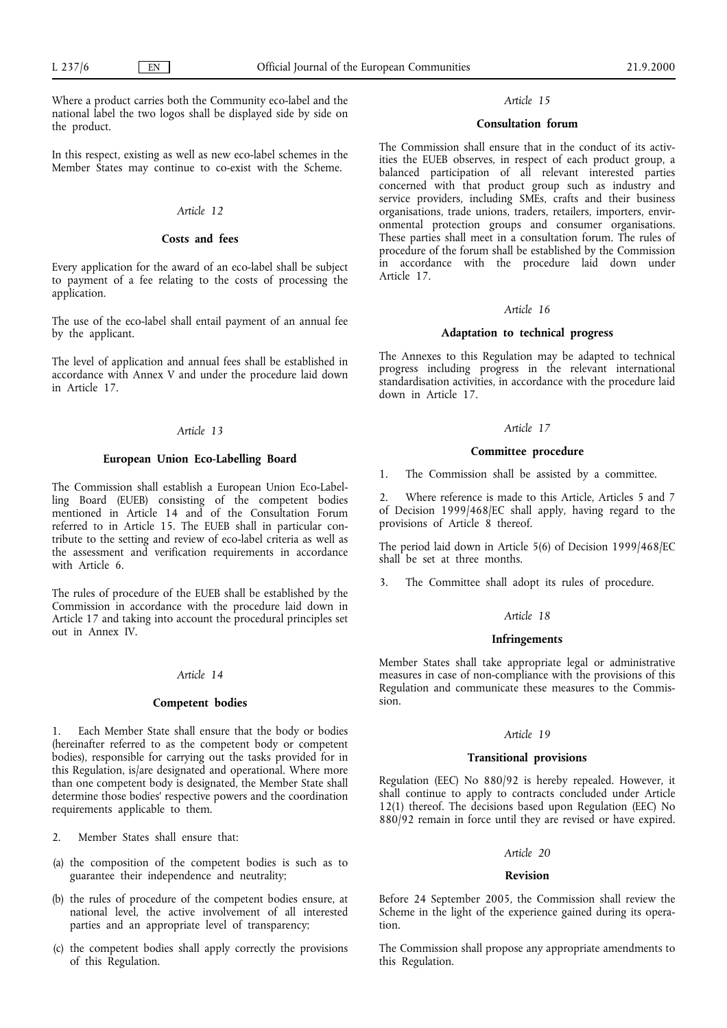Where a product carries both the Community eco-label and the national label the two logos shall be displayed side by side on the product.

In this respect, existing as well as new eco-label schemes in the Member States may continue to co-exist with the Scheme.

## *Article 12*

# **Costs and fees**

Every application for the award of an eco-label shall be subject to payment of a fee relating to the costs of processing the application.

The use of the eco-label shall entail payment of an annual fee by the applicant.

The level of application and annual fees shall be established in accordance with Annex V and under the procedure laid down in Article 17.

### *Article 13*

#### **European Union Eco-Labelling Board**

The Commission shall establish a European Union Eco-Labelling Board (EUEB) consisting of the competent bodies mentioned in Article 14 and of the Consultation Forum referred to in Article 15. The EUEB shall in particular contribute to the setting and review of eco-label criteria as well as the assessment and verification requirements in accordance with Article 6.

The rules of procedure of the EUEB shall be established by the Commission in accordance with the procedure laid down in Article 17 and taking into account the procedural principles set out in Annex IV.

#### *Article 14*

## **Competent bodies**

1. Each Member State shall ensure that the body or bodies (hereinafter referred to as the competent body or competent bodies), responsible for carrying out the tasks provided for in this Regulation, is/are designated and operational. Where more than one competent body is designated, the Member State shall determine those bodies' respective powers and the coordination requirements applicable to them.

2. Member States shall ensure that:

- (a) the composition of the competent bodies is such as to guarantee their independence and neutrality;
- (b) the rules of procedure of the competent bodies ensure, at national level, the active involvement of all interested parties and an appropriate level of transparency;
- (c) the competent bodies shall apply correctly the provisions of this Regulation.

# *Article 15*

## **Consultation forum**

The Commission shall ensure that in the conduct of its activities the EUEB observes, in respect of each product group, a balanced participation of all relevant interested parties concerned with that product group such as industry and service providers, including SMEs, crafts and their business organisations, trade unions, traders, retailers, importers, environmental protection groups and consumer organisations. These parties shall meet in a consultation forum. The rules of procedure of the forum shall be established by the Commission in accordance with the procedure laid down under Article 17.

## *Article 16*

## **Adaptation to technical progress**

The Annexes to this Regulation may be adapted to technical progress including progress in the relevant international standardisation activities, in accordance with the procedure laid down in Article 17.

#### *Article 17*

#### **Committee procedure**

1. The Commission shall be assisted by a committee.

2. Where reference is made to this Article, Articles 5 and 7 of Decision 1999/468/EC shall apply, having regard to the provisions of Article 8 thereof.

The period laid down in Article 5(6) of Decision 1999/468/EC shall be set at three months.

3. The Committee shall adopt its rules of procedure.

#### *Article 18*

#### **Infringements**

Member States shall take appropriate legal or administrative measures in case of non-compliance with the provisions of this Regulation and communicate these measures to the Commission.

#### *Article 19*

#### **Transitional provisions**

Regulation (EEC) No 880/92 is hereby repealed. However, it shall continue to apply to contracts concluded under Article 12(1) thereof. The decisions based upon Regulation (EEC) No 880/92 remain in force until they are revised or have expired.

#### *Article 20*

#### **Revision**

Before 24 September 2005, the Commission shall review the Scheme in the light of the experience gained during its operation.

The Commission shall propose any appropriate amendments to this Regulation.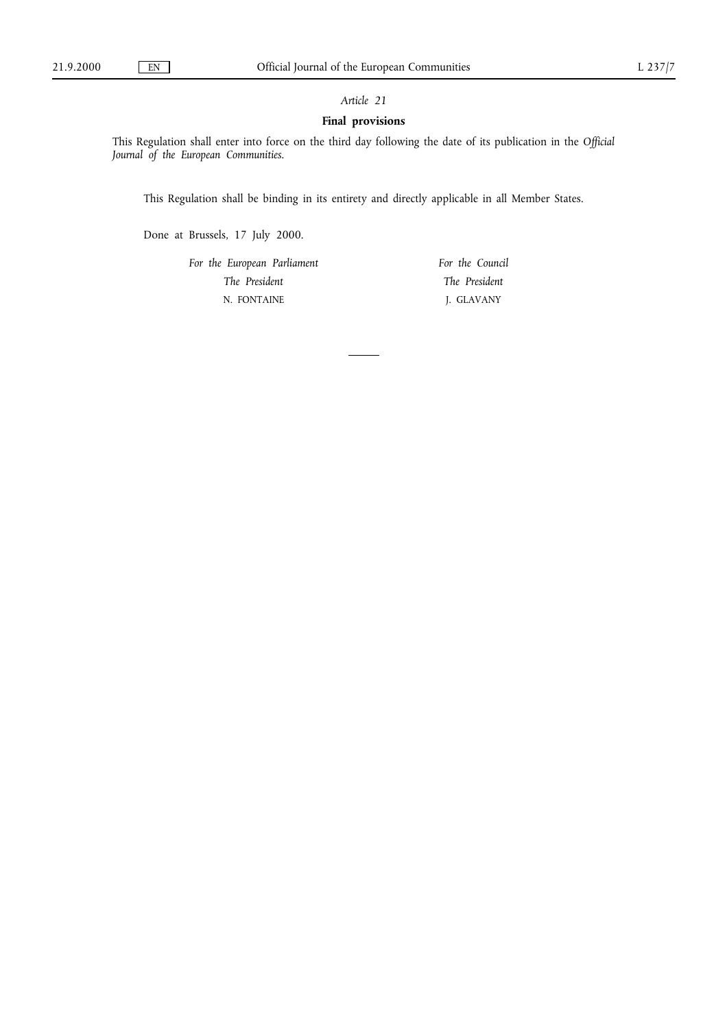# *Article 21*

# **Final provisions**

This Regulation shall enter into force on the third day following the date of its publication in the *Official Journal of the European Communities*.

This Regulation shall be binding in its entirety and directly applicable in all Member States.

Done at Brussels, 17 July 2000.

*For the European Parliament The President* N. FONTAINE

*For the Council The President* J. GLAVANY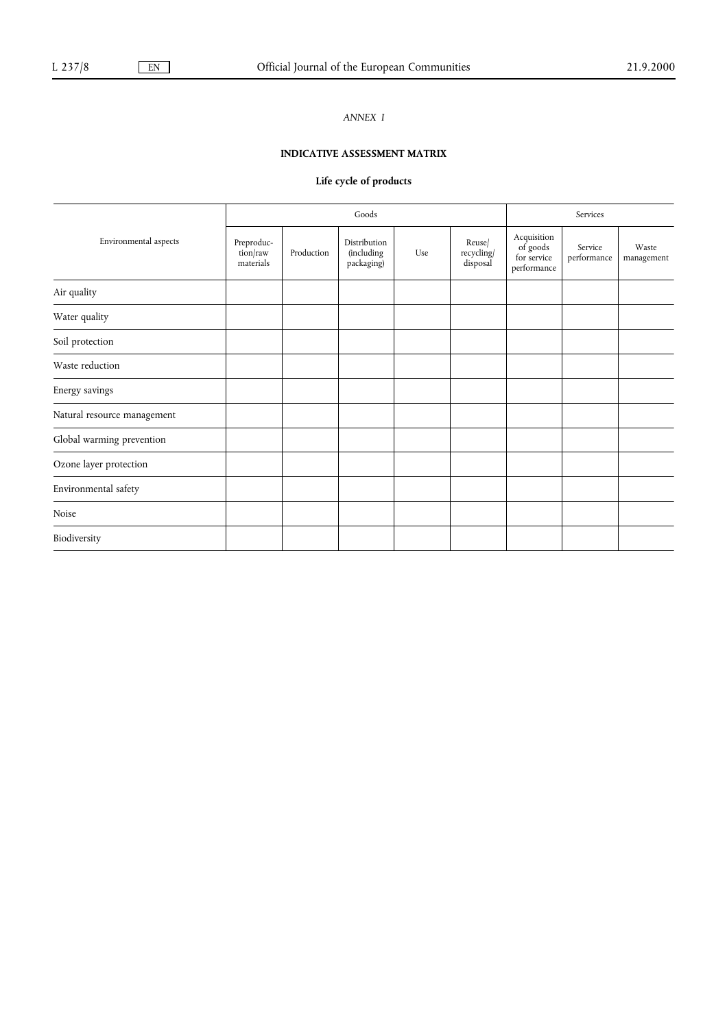# *ANNEX I*

# **INDICATIVE ASSESSMENT MATRIX**

# **Life cycle of products**

|                             | Goods                               |            |                                                 |     |                                  | Services                                              |                        |                     |
|-----------------------------|-------------------------------------|------------|-------------------------------------------------|-----|----------------------------------|-------------------------------------------------------|------------------------|---------------------|
| Environmental aspects       | Preproduc-<br>tion/raw<br>materials | Production | Distribution<br><i>(including</i><br>packaging) | Use | Reuse/<br>recycling/<br>disposal | Acquisition<br>of goods<br>for service<br>performance | Service<br>performance | Waste<br>management |
| Air quality                 |                                     |            |                                                 |     |                                  |                                                       |                        |                     |
| Water quality               |                                     |            |                                                 |     |                                  |                                                       |                        |                     |
| Soil protection             |                                     |            |                                                 |     |                                  |                                                       |                        |                     |
| Waste reduction             |                                     |            |                                                 |     |                                  |                                                       |                        |                     |
| Energy savings              |                                     |            |                                                 |     |                                  |                                                       |                        |                     |
| Natural resource management |                                     |            |                                                 |     |                                  |                                                       |                        |                     |
| Global warming prevention   |                                     |            |                                                 |     |                                  |                                                       |                        |                     |
| Ozone layer protection      |                                     |            |                                                 |     |                                  |                                                       |                        |                     |
| Environmental safety        |                                     |            |                                                 |     |                                  |                                                       |                        |                     |
| Noise                       |                                     |            |                                                 |     |                                  |                                                       |                        |                     |
| Biodiversity                |                                     |            |                                                 |     |                                  |                                                       |                        |                     |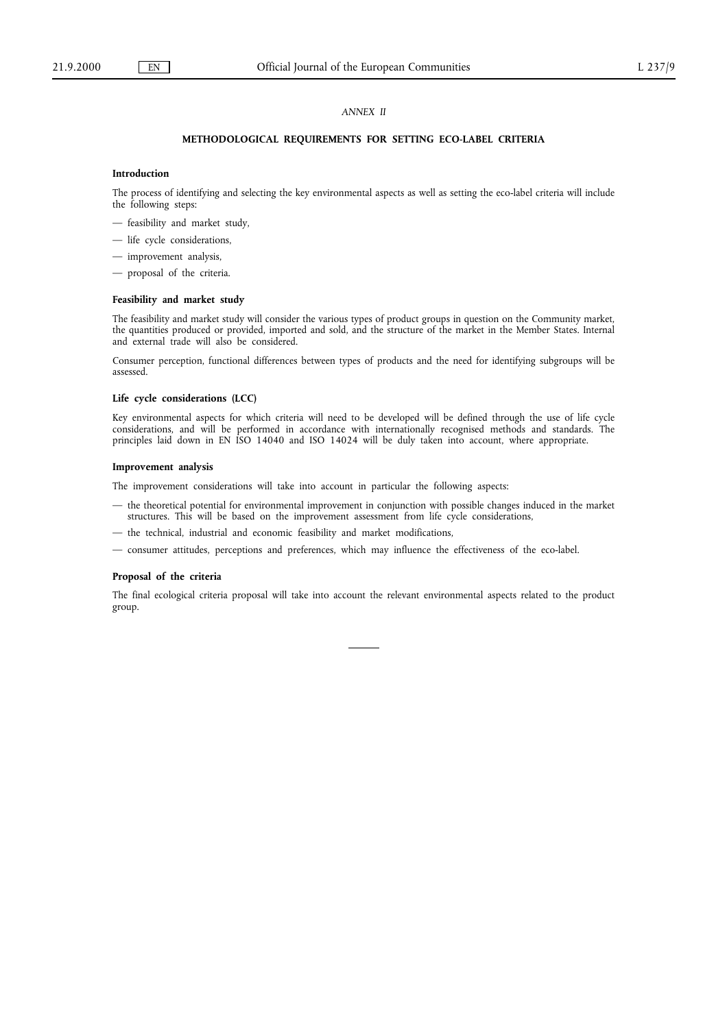## *ANNEX II*

# **METHODOLOGICAL REQUIREMENTS FOR SETTING ECO-LABEL CRITERIA**

#### **Introduction**

The process of identifying and selecting the key environmental aspects as well as setting the eco-label criteria will include the following steps:

- feasibility and market study,
- life cycle considerations,
- improvement analysis,
- proposal of the criteria.

## **Feasibility and market study**

The feasibility and market study will consider the various types of product groups in question on the Community market, the quantities produced or provided, imported and sold, and the structure of the market in the Member States. Internal and external trade will also be considered.

Consumer perception, functional differences between types of products and the need for identifying subgroups will be assessed.

#### **Life cycle considerations (LCC)**

Key environmental aspects for which criteria will need to be developed will be defined through the use of life cycle considerations, and will be performed in accordance with internationally recognised methods and standards. The principles laid down in EN ISO 14040 and ISO 14024 will be duly taken into account, where appropriate.

#### **Improvement analysis**

The improvement considerations will take into account in particular the following aspects:

- the theoretical potential for environmental improvement in conjunction with possible changes induced in the market structures. This will be based on the improvement assessment from life cycle considerations,
- the technical, industrial and economic feasibility and market modifications,
- consumer attitudes, perceptions and preferences, which may influence the effectiveness of the eco-label.

#### **Proposal of the criteria**

The final ecological criteria proposal will take into account the relevant environmental aspects related to the product group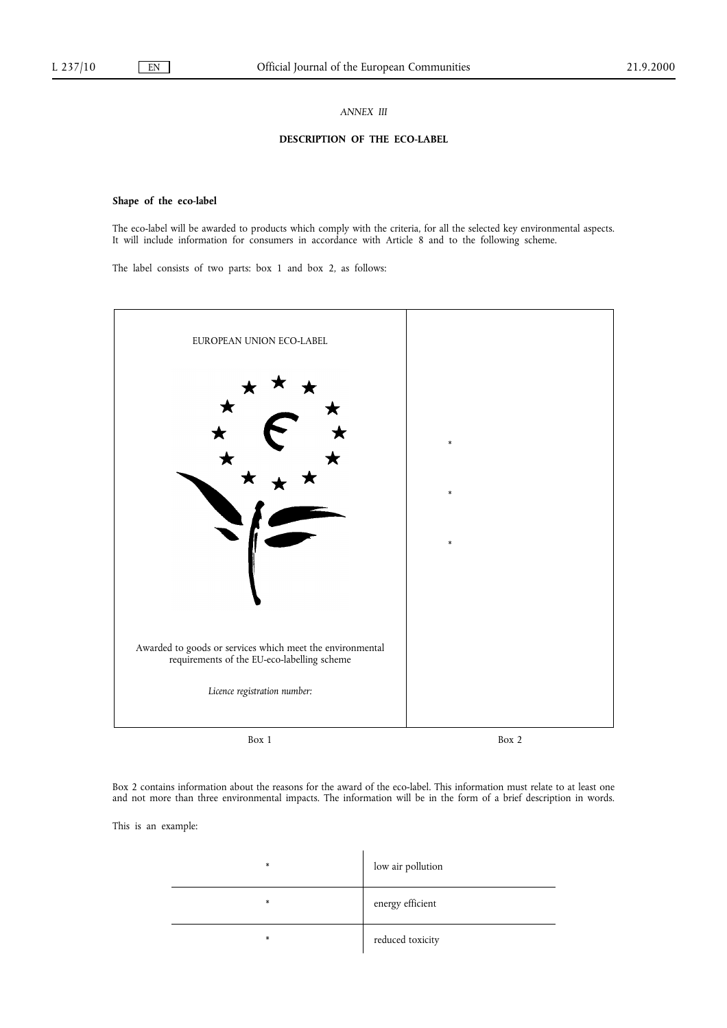#### *ANNEX III*

## **DESCRIPTION OF THE ECO-LABEL**

# **Shape of the eco-label**

The eco-label will be awarded to products which comply with the criteria, for all the selected key environmental aspects. It will include information for consumers in accordance with Article 8 and to the following scheme.

The label consists of two parts: box 1 and box 2, as follows:



Box 2 contains information about the reasons for the award of the eco-label. This information must relate to at least one and not more than three environmental impacts. The information will be in the form of a brief description in words.

This is an example:

| $\ast$ | low air pollution |
|--------|-------------------|
| $\ast$ | energy efficient  |
| $\ast$ | reduced toxicity  |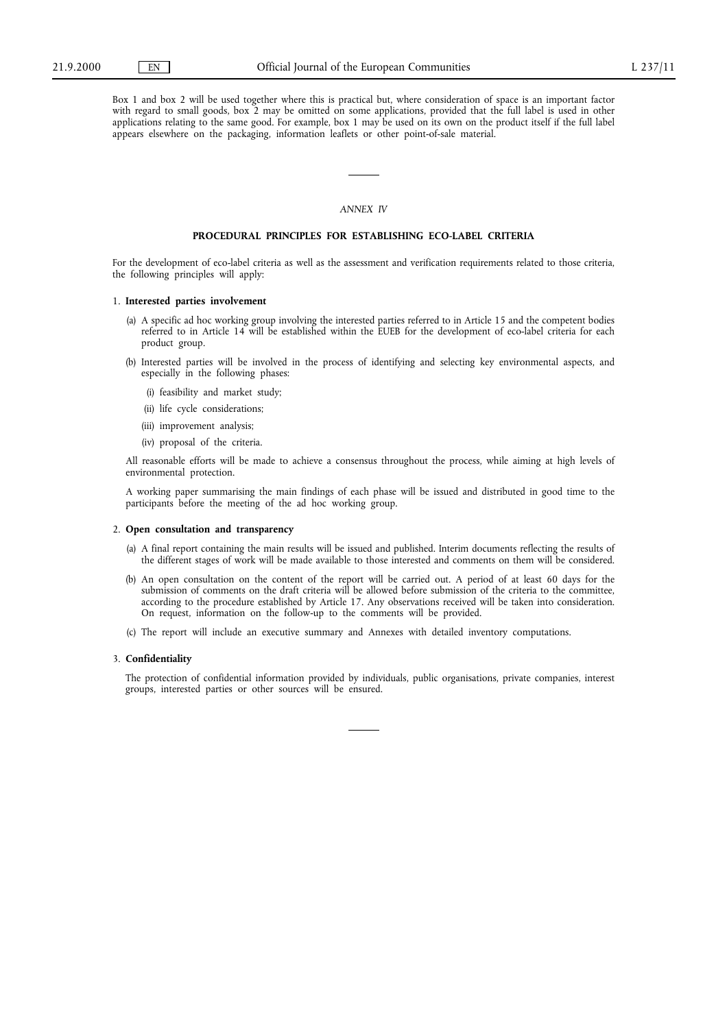Box 1 and box 2 will be used together where this is practical but, where consideration of space is an important factor with regard to small goods, box 2 may be omitted on some applications, provided that the full label is used in other applications relating to the same good. For example, box 1 may be used on its own on the product itself if the full label appears elsewhere on the packaging, information leaflets or other point-of-sale material.

### *ANNEX IV*

#### **PROCEDURAL PRINCIPLES FOR ESTABLISHING ECO-LABEL CRITERIA**

For the development of eco-label criteria as well as the assessment and verification requirements related to those criteria, the following principles will apply:

#### 1. **Interested parties involvement**

- (a) A specific ad hoc working group involving the interested parties referred to in Article 15 and the competent bodies referred to in Article 14 will be established within the EUEB for the development of eco-label criteria for each product group.
- (b) Interested parties will be involved in the process of identifying and selecting key environmental aspects, and especially in the following phases:
	- (i) feasibility and market study;
	- (ii) life cycle considerations;
	- (iii) improvement analysis;
	- (iv) proposal of the criteria.

All reasonable efforts will be made to achieve a consensus throughout the process, while aiming at high levels of environmental protection.

A working paper summarising the main findings of each phase will be issued and distributed in good time to the participants before the meeting of the ad hoc working group.

#### 2. **Open consultation and transparency**

- (a) A final report containing the main results will be issued and published. Interim documents reflecting the results of the different stages of work will be made available to those interested and comments on them will be considered.
- (b) An open consultation on the content of the report will be carried out. A period of at least 60 days for the submission of comments on the draft criteria will be allowed before submission of the criteria to the committee, according to the procedure established by Article 17. Any observations received will be taken into consideration. On request, information on the follow-up to the comments will be provided.
- (c) The report will include an executive summary and Annexes with detailed inventory computations.

#### 3. **Confidentiality**

The protection of confidential information provided by individuals, public organisations, private companies, interest groups, interested parties or other sources will be ensured.